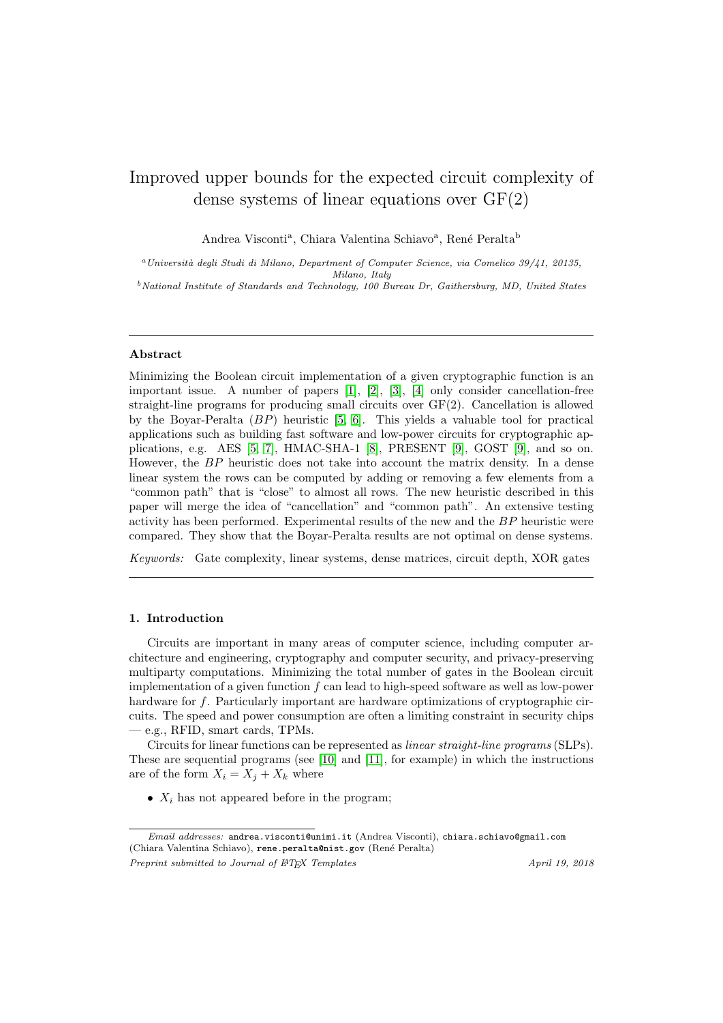# <span id="page-0-0"></span>Improved upper bounds for the expected circuit complexity of dense systems of linear equations over GF(2)

Andrea Visconti<sup>a</sup>, Chiara Valentina Schiavo<sup>a</sup>, René Peralta<sup>b</sup>

<sup>a</sup>Università degli Studi di Milano, Department of Computer Science, via Comelico 39/41, 20135, Milano, Italy

 $b$ National Institute of Standards and Technology, 100 Bureau Dr, Gaithersburg, MD, United States

## Abstract

Minimizing the Boolean circuit implementation of a given cryptographic function is an important issue. A number of papers [\[1\]](#page-7-0), [\[2\]](#page-7-1), [\[3\]](#page-7-2), [\[4\]](#page-7-3) only consider cancellation-free straight-line programs for producing small circuits over GF(2). Cancellation is allowed by the Boyar-Peralta  $(BP)$  heuristic [\[5,](#page-7-4) [6\]](#page-7-5). This yields a valuable tool for practical applications such as building fast software and low-power circuits for cryptographic applications, e.g. AES  $[5, 7]$  $[5, 7]$  $[5, 7]$ , HMAC-SHA-1  $[8]$ , PRESENT  $[9]$ , GOST  $[9]$ , and so on. However, the BP heuristic does not take into account the matrix density. In a dense linear system the rows can be computed by adding or removing a few elements from a "common path" that is "close" to almost all rows. The new heuristic described in this paper will merge the idea of "cancellation" and "common path". An extensive testing activity has been performed. Experimental results of the new and the BP heuristic were compared. They show that the Boyar-Peralta results are not optimal on dense systems.

Keywords: Gate complexity, linear systems, dense matrices, circuit depth, XOR gates

## 1. Introduction

Circuits are important in many areas of computer science, including computer architecture and engineering, cryptography and computer security, and privacy-preserving multiparty computations. Minimizing the total number of gates in the Boolean circuit implementation of a given function f can lead to high-speed software as well as low-power hardware for f. Particularly important are hardware optimizations of cryptographic circuits. The speed and power consumption are often a limiting constraint in security chips — e.g., RFID, smart cards, TPMs.

Circuits for linear functions can be represented as linear straight-line programs (SLPs). These are sequential programs (see [\[10\]](#page-7-9) and [\[11\]](#page-7-10), for example) in which the instructions are of the form  $X_i = X_j + X_k$  where

•  $X_i$  has not appeared before in the program;

Email addresses: andrea.visconti@unimi.it (Andrea Visconti), chiara.schiavo@gmail.com (Chiara Valentina Schiavo), rene.peralta@nist.gov (Ren´e Peralta) Preprint submitted to Journal of  $\cancel{B}$ TEX Templates April 19, 2018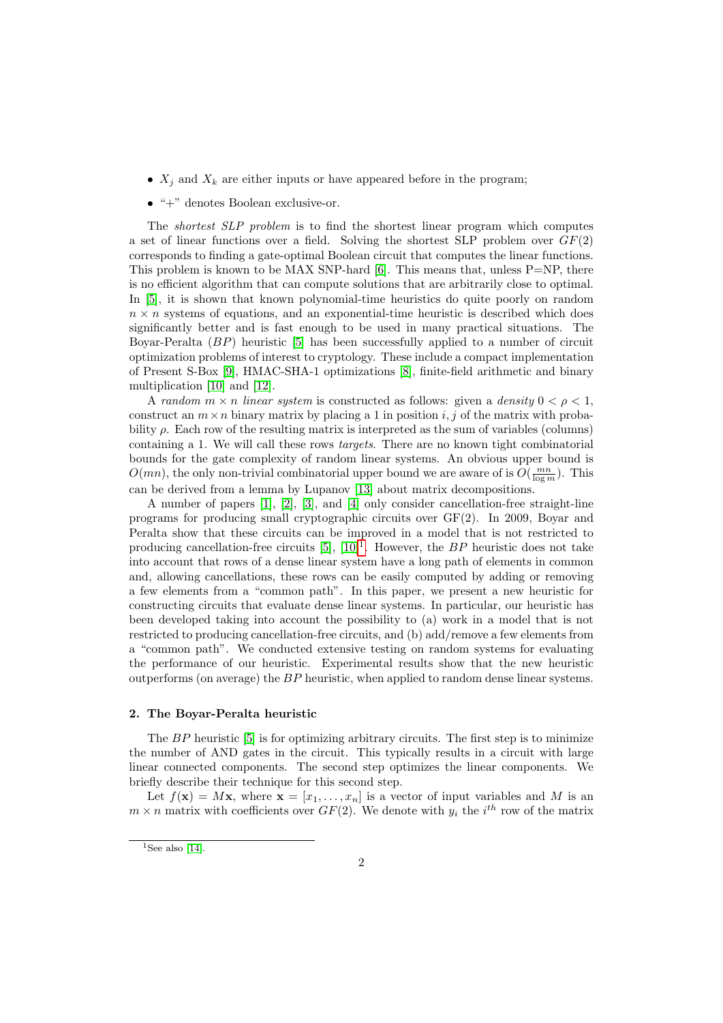- $X_i$  and  $X_k$  are either inputs or have appeared before in the program;
- $\bullet$  " $+$ " denotes Boolean exclusive-or.

The shortest SLP problem is to find the shortest linear program which computes a set of linear functions over a field. Solving the shortest SLP problem over  $GF(2)$ corresponds to finding a gate-optimal Boolean circuit that computes the linear functions. This problem is known to be MAX SNP-hard  $[6]$ . This means that, unless P=NP, there is no efficient algorithm that can compute solutions that are arbitrarily close to optimal. In [\[5\]](#page-7-4), it is shown that known polynomial-time heuristics do quite poorly on random  $n \times n$  systems of equations, and an exponential-time heuristic is described which does significantly better and is fast enough to be used in many practical situations. The Boyar-Peralta (BP) heuristic [\[5\]](#page-7-4) has been successfully applied to a number of circuit optimization problems of interest to cryptology. These include a compact implementation of Present S-Box [\[9\]](#page-7-8), HMAC-SHA-1 optimizations [\[8\]](#page-7-7), finite-field arithmetic and binary multiplication [\[10\]](#page-7-9) and [\[12\]](#page-7-11).

A random  $m \times n$  linear system is constructed as follows: given a density  $0 < \rho < 1$ , construct an  $m \times n$  binary matrix by placing a 1 in position i, j of the matrix with probability  $\rho$ . Each row of the resulting matrix is interpreted as the sum of variables (columns) containing a 1. We will call these rows targets. There are no known tight combinatorial bounds for the gate complexity of random linear systems. An obvious upper bound is  $O(mn)$ , the only non-trivial combinatorial upper bound we are aware of is  $O(\frac{mn}{\log m})$ . This can be derived from a lemma by Lupanov [\[13\]](#page-7-12) about matrix decompositions.

A number of papers [\[1\]](#page-7-0), [\[2\]](#page-7-1), [\[3\]](#page-7-2), and [\[4\]](#page-7-3) only consider cancellation-free straight-line programs for producing small cryptographic circuits over GF(2). In 2009, Boyar and Peralta show that these circuits can be improved in a model that is not restricted to producing cancellation-free circuits  $[5]$ ,  $[10]<sup>1</sup>$  $[10]<sup>1</sup>$  $[10]<sup>1</sup>$  $[10]<sup>1</sup>$ . However, the BP heuristic does not take into account that rows of a dense linear system have a long path of elements in common and, allowing cancellations, these rows can be easily computed by adding or removing a few elements from a "common path". In this paper, we present a new heuristic for constructing circuits that evaluate dense linear systems. In particular, our heuristic has been developed taking into account the possibility to (a) work in a model that is not restricted to producing cancellation-free circuits, and (b) add/remove a few elements from a "common path". We conducted extensive testing on random systems for evaluating the performance of our heuristic. Experimental results show that the new heuristic outperforms (on average) the BP heuristic, when applied to random dense linear systems.

## 2. The Boyar-Peralta heuristic

The BP heuristic [\[5\]](#page-7-4) is for optimizing arbitrary circuits. The first step is to minimize the number of AND gates in the circuit. This typically results in a circuit with large linear connected components. The second step optimizes the linear components. We briefly describe their technique for this second step.

Let  $f(\mathbf{x}) = M\mathbf{x}$ , where  $\mathbf{x} = [x_1, \dots, x_n]$  is a vector of input variables and M is an  $m \times n$  matrix with coefficients over  $GF(2)$ . We denote with  $y_i$  the  $i^{th}$  row of the matrix

 $1$ See also [\[14\]](#page-7-13).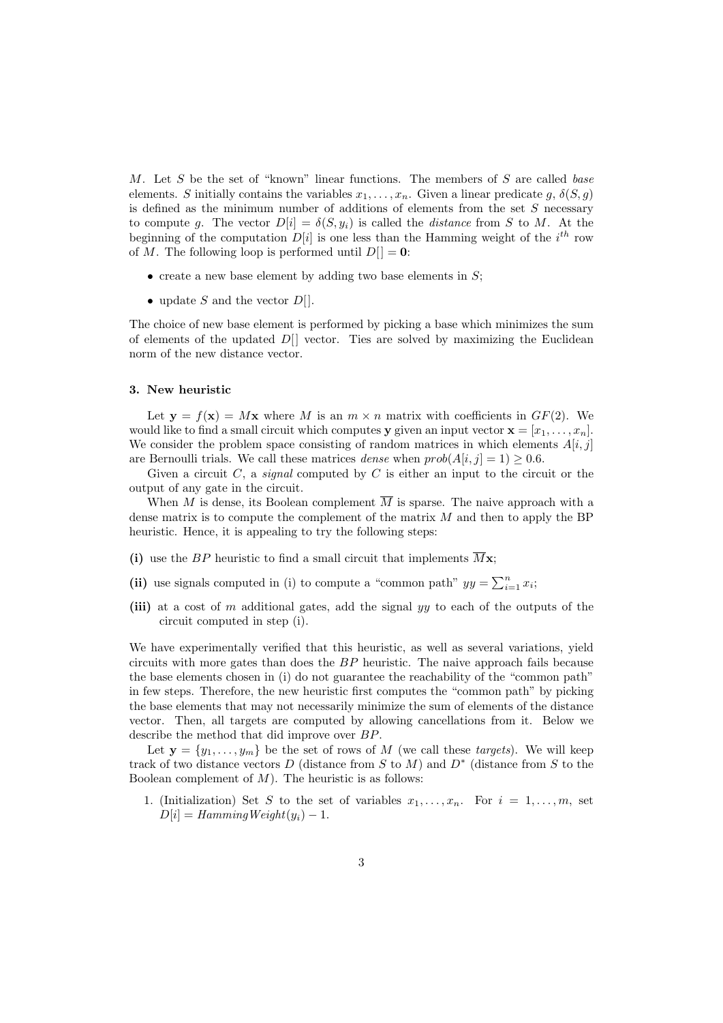M. Let  $S$  be the set of "known" linear functions. The members of  $S$  are called base elements. S initially contains the variables  $x_1, \ldots, x_n$ . Given a linear predicate g,  $\delta(S, g)$ is defined as the minimum number of additions of elements from the set  $S$  necessary to compute g. The vector  $D[i] = \delta(S, y_i)$  is called the *distance* from S to M. At the beginning of the computation  $D[i]$  is one less than the Hamming weight of the  $i^{th}$  row of M. The following loop is performed until  $D[]=0$ :

- $\bullet$  create a new base element by adding two base elements in  $S$ ;
- update  $S$  and the vector  $D[$ ].

The choice of new base element is performed by picking a base which minimizes the sum of elements of the updated  $D[$ ] vector. Ties are solved by maximizing the Euclidean norm of the new distance vector.

## 3. New heuristic

Let  $y = f(x) = Mx$  where M is an  $m \times n$  matrix with coefficients in  $GF(2)$ . We would like to find a small circuit which computes y given an input vector  $\mathbf{x} = [x_1, \ldots, x_n]$ . We consider the problem space consisting of random matrices in which elements  $A[i, j]$ are Bernoulli trials. We call these matrices *dense* when  $prob(A[i, j] = 1) > 0.6$ .

Given a circuit C, a *signal* computed by C is either an input to the circuit or the output of any gate in the circuit.

When M is dense, its Boolean complement  $\overline{M}$  is sparse. The naive approach with a dense matrix is to compute the complement of the matrix  $M$  and then to apply the BP heuristic. Hence, it is appealing to try the following steps:

- (i) use the BP heuristic to find a small circuit that implements  $\overline{M}\mathbf{x}$ ;
- (ii) use signals computed in (i) to compute a "common path"  $yy = \sum_{i=1}^{n} x_i$ ;
- (iii) at a cost of m additional gates, add the signal yy to each of the outputs of the circuit computed in step (i).

We have experimentally verified that this heuristic, as well as several variations, yield circuits with more gates than does the BP heuristic. The naive approach fails because the base elements chosen in (i) do not guarantee the reachability of the "common path" in few steps. Therefore, the new heuristic first computes the "common path" by picking the base elements that may not necessarily minimize the sum of elements of the distance vector. Then, all targets are computed by allowing cancellations from it. Below we describe the method that did improve over BP.

Let  $y = \{y_1, \ldots, y_m\}$  be the set of rows of M (we call these targets). We will keep track of two distance vectors D (distance from S to M) and  $D^*$  (distance from S to the Boolean complement of  $M$ ). The heuristic is as follows:

1. (Initialization) Set S to the set of variables  $x_1, \ldots, x_n$ . For  $i = 1, \ldots, m$ , set  $D[i] = HammingWeight(y_i) - 1.$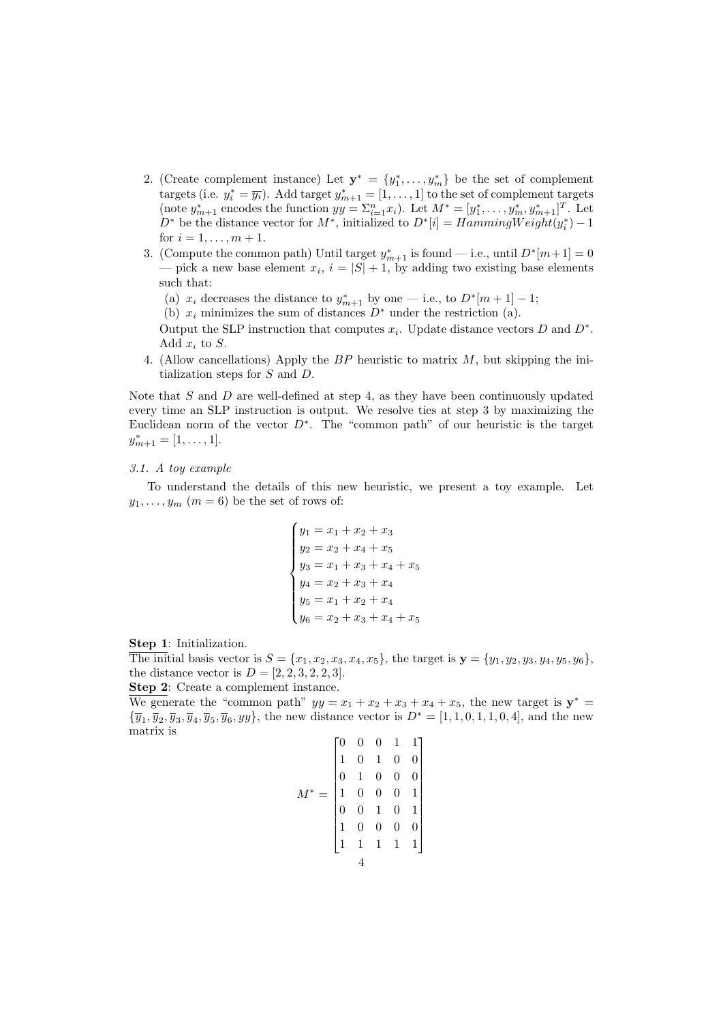- 2. (Create complement instance) Let  $\mathbf{y}^* = \{y_1^*, \ldots, y_m^*\}$  be the set of complement targets (i.e.  $y_i^* = \overline{y_i}$ ). Add target  $y_{m+1}^* = [1, \ldots, 1]$  to the set of complement targets (note  $y_{m+1}^*$  encodes the functi  $D^*$  be the distance vector for  $M^*$ , initialized to  $D^*[i] = HammingWeight(y_i^*) - 1$ for  $i = 1, ..., m + 1$ .
- 3. (Compute the common path) Until target  $y_{m+1}^*$  is found i.e., until  $D^*[m+1] = 0$ — pick a new base element  $x_i$ ,  $i = |S| + 1$ , by adding two existing base elements such that:
	- (a)  $x_i$  decreases the distance to  $y_{m+1}^*$  by one i.e., to  $D^*[m+1]-1;$
	- (b)  $x_i$  minimizes the sum of distances  $D^*$  under the restriction (a).

Output the SLP instruction that computes  $x_i$ . Update distance vectors D and D<sup>\*</sup>. Add  $x_i$  to S.

4. (Allow cancellations) Apply the BP heuristic to matrix M, but skipping the initialization steps for S and D.

Note that  $S$  and  $D$  are well-defined at step 4, as they have been continuously updated every time an SLP instruction is output. We resolve ties at step 3 by maximizing the Euclidean norm of the vector  $D^*$ . The "common path" of our heuristic is the target  $y_{m+1}^* = [1, \ldots, 1].$ 

## 3.1. A toy example

To understand the details of this new heuristic, we present a toy example. Let  $y_1, \ldots, y_m$   $(m = 6)$  be the set of rows of:

$$
\begin{cases}\ny_1 = x_1 + x_2 + x_3 \\
y_2 = x_2 + x_4 + x_5 \\
y_3 = x_1 + x_3 + x_4 + x_5 \\
y_4 = x_2 + x_3 + x_4 \\
y_5 = x_1 + x_2 + x_4 \\
y_6 = x_2 + x_3 + x_4 + x_5\n\end{cases}
$$

Step 1: Initialization.

The initial basis vector is  $S = \{x_1, x_2, x_3, x_4, x_5\}$ , the target is  $\mathbf{y} = \{y_1, y_2, y_3, y_4, y_5, y_6\}$ , the distance vector is  $D = [2, 2, 3, 2, 2, 3]$ .

Step 2: Create a complement instance.

We generate the "common path"  $yy = x_1 + x_2 + x_3 + x_4 + x_5$ , the new target is  $y^* =$  ${\overline{y}_1, \overline{y}_2, \overline{y}_3, \overline{y}_4, \overline{y}_5, \overline{y}_6, yy}$ , the new distance vector is  $D^* = [1, 1, 0, 1, 1, 0, 4]$ , and the new matrix is

$$
M^* = \begin{bmatrix} 0 & 0 & 0 & 1 & 1 \\ 1 & 0 & 1 & 0 & 0 \\ 0 & 1 & 0 & 0 & 0 \\ 1 & 0 & 0 & 0 & 1 \\ 0 & 0 & 1 & 0 & 1 \\ 1 & 0 & 0 & 0 & 0 \\ 1 & 1 & 1 & 1 & 1 \end{bmatrix}
$$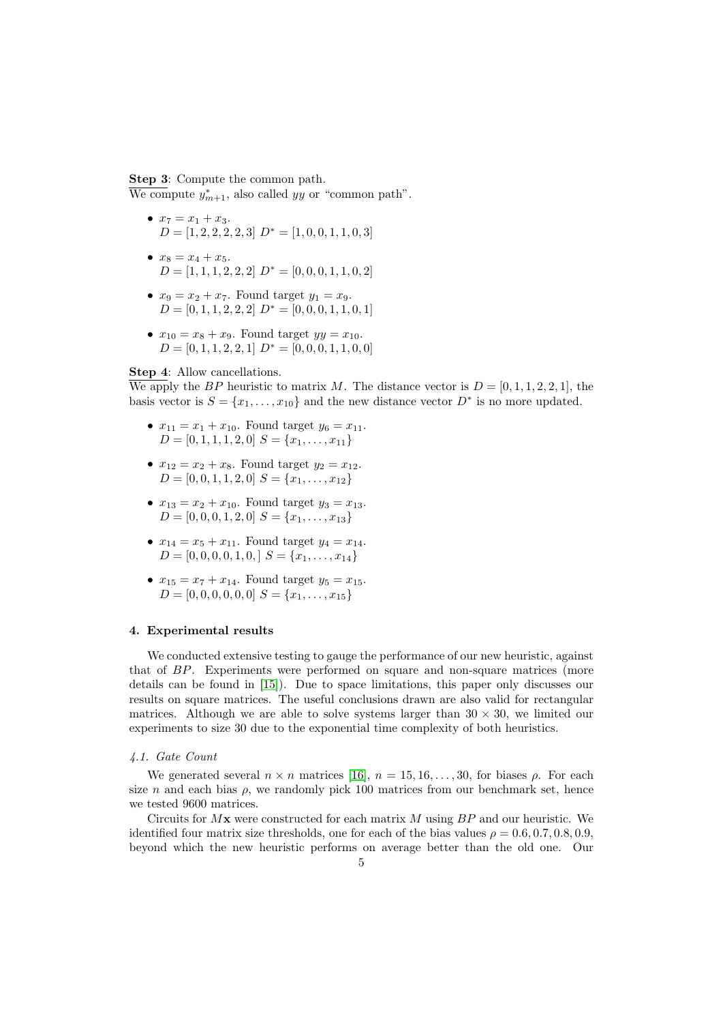## Step 3: Compute the common path.

We compute  $y_{m+1}^*$ , also called yy or "common path".

- $x_7 = x_1 + x_3$ .  $D = \begin{bmatrix} 1, 2, 2, 2, 2, 3 \end{bmatrix}$   $D^* = \begin{bmatrix} 1, 0, 0, 1, 1, 0, 3 \end{bmatrix}$
- $x_8 = x_4 + x_5$ .  $D = \begin{bmatrix} 1, 1, 1, 2, 2, 2 \end{bmatrix}$   $D^* = \begin{bmatrix} 0, 0, 0, 1, 1, 0, 2 \end{bmatrix}$
- $x_9 = x_2 + x_7$ . Found target  $y_1 = x_9$ .  $D = [0, 1, 1, 2, 2, 2]$   $D^* = [0, 0, 0, 1, 1, 0, 1]$
- $x_{10} = x_8 + x_9$ . Found target  $yy = x_{10}$ .  $D = [0, 1, 1, 2, 2, 1]$   $D^* = [0, 0, 0, 1, 1, 0, 0]$

# Step 4: Allow cancellations.

We apply the BP heuristic to matrix M. The distance vector is  $D = [0, 1, 1, 2, 2, 1]$ , the basis vector is  $S = \{x_1, \ldots, x_{10}\}\$ and the new distance vector  $D^*$  is no more updated.

- $x_{11} = x_1 + x_{10}$ . Found target  $y_6 = x_{11}$ .  $D = [0, 1, 1, 1, 2, 0]$   $S = \{x_1, \ldots, x_{11}\}\$
- $x_{12} = x_2 + x_8$ . Found target  $y_2 = x_{12}$ .  $D = [0, 0, 1, 1, 2, 0]$   $S = \{x_1, \ldots, x_{12}\}$
- $x_{13} = x_2 + x_{10}$ . Found target  $y_3 = x_{13}$ .  $D = [0, 0, 0, 1, 2, 0]$   $S = \{x_1, \ldots, x_{13}\}$
- $x_{14} = x_5 + x_{11}$ . Found target  $y_4 = x_{14}$ .  $D = [0, 0, 0, 0, 1, 0, \mathcal{S} = \{x_1, \ldots, x_{14}\}\$
- $x_{15} = x_7 + x_{14}$ . Found target  $y_5 = x_{15}$ .  $D = [0, 0, 0, 0, 0, 0]$   $S = \{x_1, \ldots, x_{15}\}\$

## 4. Experimental results

We conducted extensive testing to gauge the performance of our new heuristic, against that of BP. Experiments were performed on square and non-square matrices (more details can be found in [\[15\]](#page-7-14)). Due to space limitations, this paper only discusses our results on square matrices. The useful conclusions drawn are also valid for rectangular matrices. Although we are able to solve systems larger than  $30 \times 30$ , we limited our experiments to size 30 due to the exponential time complexity of both heuristics.

## <span id="page-4-0"></span>4.1. Gate Count

We generated several  $n \times n$  matrices [\[16\]](#page-7-15),  $n = 15, 16, \ldots, 30$ , for biases  $\rho$ . For each size n and each bias  $\rho$ , we randomly pick 100 matrices from our benchmark set, hence we tested 9600 matrices.

Circuits for  $Mx$  were constructed for each matrix M using  $BP$  and our heuristic. We identified four matrix size thresholds, one for each of the bias values  $\rho = 0.6, 0.7, 0.8, 0.9$ . beyond which the new heuristic performs on average better than the old one. Our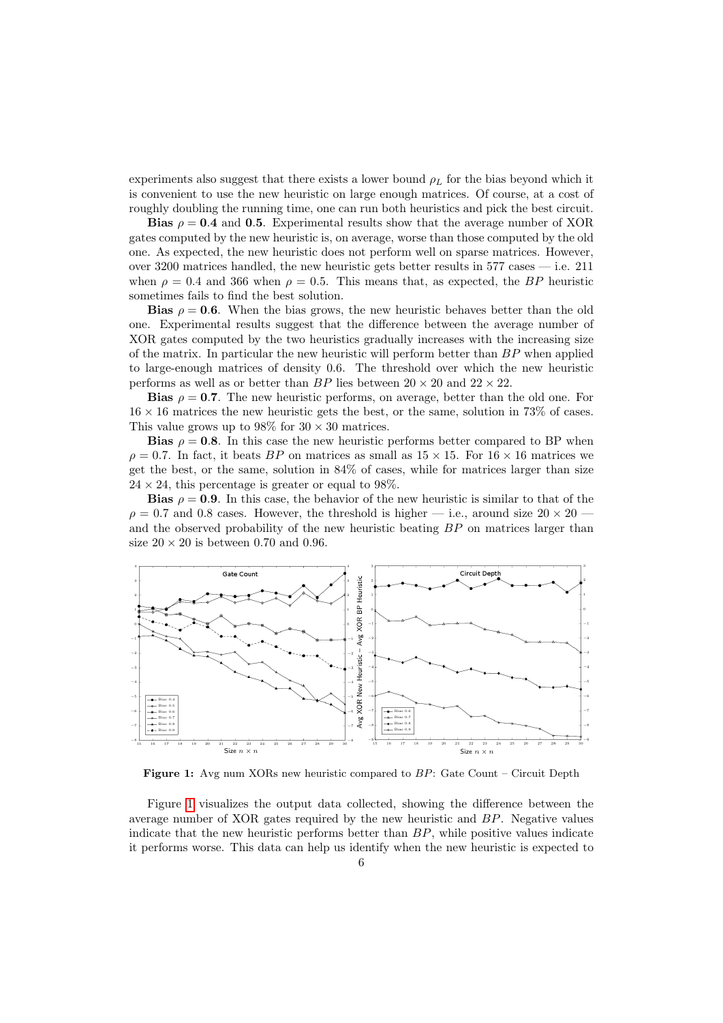experiments also suggest that there exists a lower bound  $\rho_L$  for the bias beyond which it is convenient to use the new heuristic on large enough matrices. Of course, at a cost of roughly doubling the running time, one can run both heuristics and pick the best circuit.

Bias  $\rho = 0.4$  and 0.5. Experimental results show that the average number of XOR gates computed by the new heuristic is, on average, worse than those computed by the old one. As expected, the new heuristic does not perform well on sparse matrices. However, over 3200 matrices handled, the new heuristic gets better results in 577 cases — i.e. 211 when  $\rho = 0.4$  and 366 when  $\rho = 0.5$ . This means that, as expected, the BP heuristic sometimes fails to find the best solution.

**Bias**  $\rho = 0.6$ . When the bias grows, the new heuristic behaves better than the old one. Experimental results suggest that the difference between the average number of XOR gates computed by the two heuristics gradually increases with the increasing size of the matrix. In particular the new heuristic will perform better than  $BP$  when applied to large-enough matrices of density 0.6. The threshold over which the new heuristic performs as well as or better than  $BP$  lies between  $20 \times 20$  and  $22 \times 22$ .

**Bias**  $\rho = 0.7$ . The new heuristic performs, on average, better than the old one. For  $16 \times 16$  matrices the new heuristic gets the best, or the same, solution in 73% of cases. This value grows up to  $98\%$  for  $30 \times 30$  matrices.

**Bias**  $\rho = 0.8$ . In this case the new heuristic performs better compared to BP when  $\rho = 0.7$ . In fact, it beats BP on matrices as small as  $15 \times 15$ . For  $16 \times 16$  matrices we get the best, or the same, solution in 84% of cases, while for matrices larger than size  $24 \times 24$ , this percentage is greater or equal to 98%.

**Bias**  $\rho = 0.9$ . In this case, the behavior of the new heuristic is similar to that of the  $\rho = 0.7$  and 0.8 cases. However, the threshold is higher — i.e., around size  $20 \times 20$  – and the observed probability of the new heuristic beating BP on matrices larger than size  $20 \times 20$  is between 0.70 and 0.96.

<span id="page-5-0"></span>

Figure 1: Avg num XORs new heuristic compared to BP: Gate Count – Circuit Depth

Figure [1](#page-5-0) visualizes the output data collected, showing the difference between the average number of XOR gates required by the new heuristic and BP. Negative values indicate that the new heuristic performs better than  $BP$ , while positive values indicate it performs worse. This data can help us identify when the new heuristic is expected to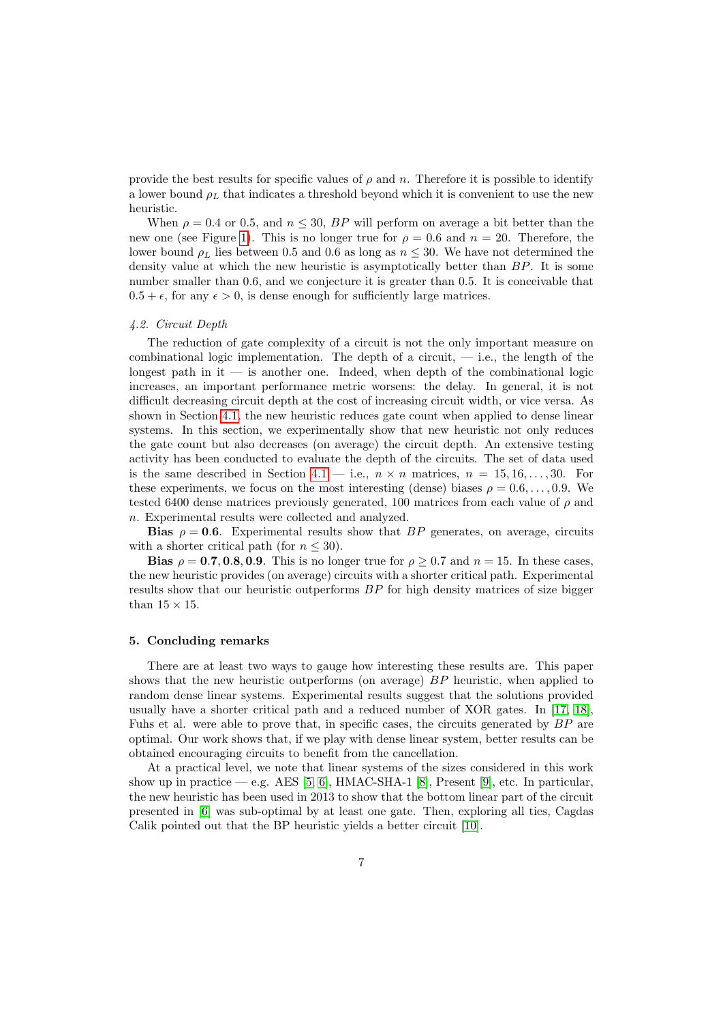provide the best results for specific values of  $\rho$  and n. Therefore it is possible to identify a lower bound  $\rho_L$  that indicates a threshold beyond which it is convenient to use the new heuristic.

When  $\rho = 0.4$  or 0.5, and  $n \leq 30$ , BP will perform on average a bit better than the new one (see Figure [1\)](#page-5-0). This is no longer true for  $\rho = 0.6$  and  $n = 20$ . Therefore, the lower bound  $\rho_L$  lies between 0.5 and 0.6 as long as  $n \leq 30$ . We have not determined the density value at which the new heuristic is asymptotically better than BP. It is some number smaller than 0.6, and we conjecture it is greater than 0.5. It is conceivable that  $0.5 + \epsilon$ , for any  $\epsilon > 0$ , is dense enough for sufficiently large matrices.

## 4.2. Circuit Depth

The reduction of gate complexity of a circuit is not the only important measure on combinational logic implementation. The depth of a circuit,  $-$  i.e., the length of the longest path in it — is another one. Indeed, when depth of the combinational logic increases, an important performance metric worsens: the delay. In general, it is not difficult decreasing circuit depth at the cost of increasing circuit width, or vice versa. As shown in Section [4.1,](#page-4-0) the new heuristic reduces gate count when applied to dense linear systems. In this section, we experimentally show that new heuristic not only reduces the gate count but also decreases (on average) the circuit depth. An extensive testing activity has been conducted to evaluate the depth of the circuits. The set of data used is the same described in Section [4.1](#page-4-0) — i.e.,  $n \times n$  matrices,  $n = 15, 16, \ldots, 30$ . For these experiments, we focus on the most interesting (dense) biases  $\rho = 0.6, \ldots, 0.9$ . We tested 6400 dense matrices previously generated, 100 matrices from each value of  $\rho$  and n. Experimental results were collected and analyzed.

**Bias**  $\rho = 0.6$ . Experimental results show that BP generates, on average, circuits with a shorter critical path (for  $n \leq 30$ ).

Bias  $\rho = 0.7, 0.8, 0.9$ . This is no longer true for  $\rho \geq 0.7$  and  $n = 15$ . In these cases, the new heuristic provides (on average) circuits with a shorter critical path. Experimental results show that our heuristic outperforms BP for high density matrices of size bigger than  $15\times15.$ 

## 5. Concluding remarks

There are at least two ways to gauge how interesting these results are. This paper shows that the new heuristic outperforms (on average) BP heuristic, when applied to random dense linear systems. Experimental results suggest that the solutions provided usually have a shorter critical path and a reduced number of XOR gates. In [\[17,](#page-7-16) [18\]](#page-7-17), Fuhs et al. were able to prove that, in specific cases, the circuits generated by BP are optimal. Our work shows that, if we play with dense linear system, better results can be obtained encouraging circuits to benefit from the cancellation.

At a practical level, we note that linear systems of the sizes considered in this work show up in practice — e.g. AES [\[5,](#page-7-4) [6\]](#page-7-5), HMAC-SHA-1 [\[8\]](#page-7-7), Present [\[9\]](#page-7-8), etc. In particular, the new heuristic has been used in 2013 to show that the bottom linear part of the circuit presented in [\[6\]](#page-7-5) was sub-optimal by at least one gate. Then, exploring all ties, Cagdas Calik pointed out that the BP heuristic yields a better circuit [\[10\]](#page-7-9).